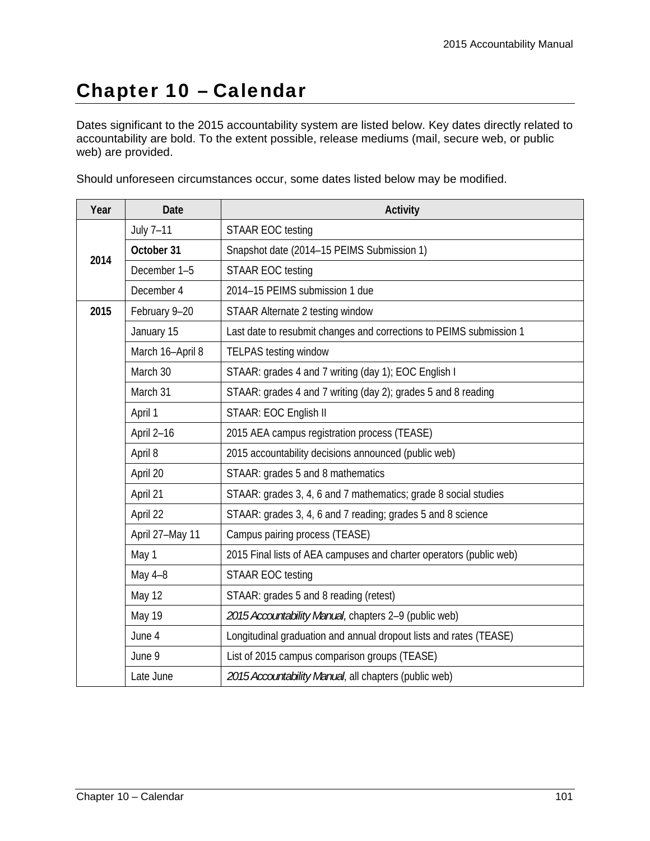## Chapter 10 – Calendar

Dates significant to the 2015 accountability system are listed below. Key dates directly related to accountability are bold. To the extent possible, release mediums (mail, secure web, or public web) are provided.

Should unforeseen circumstances occur, some dates listed below may be modified.

| Year | Date             | Activity                                                            |
|------|------------------|---------------------------------------------------------------------|
| 2014 | July 7-11        | <b>STAAR EOC testing</b>                                            |
|      | October 31       | Snapshot date (2014-15 PEIMS Submission 1)                          |
|      | December 1-5     | <b>STAAR EOC testing</b>                                            |
|      | December 4       | 2014-15 PEIMS submission 1 due                                      |
| 2015 | February 9-20    | STAAR Alternate 2 testing window                                    |
|      | January 15       | Last date to resubmit changes and corrections to PEIMS submission 1 |
|      | March 16-April 8 | <b>TELPAS testing window</b>                                        |
|      | March 30         | STAAR: grades 4 and 7 writing (day 1); EOC English I                |
|      | March 31         | STAAR: grades 4 and 7 writing (day 2); grades 5 and 8 reading       |
|      | April 1          | STAAR: EOC English II                                               |
|      | April 2-16       | 2015 AEA campus registration process (TEASE)                        |
|      | April 8          | 2015 accountability decisions announced (public web)                |
|      | April 20         | STAAR: grades 5 and 8 mathematics                                   |
|      | April 21         | STAAR: grades 3, 4, 6 and 7 mathematics; grade 8 social studies     |
|      | April 22         | STAAR: grades 3, 4, 6 and 7 reading; grades 5 and 8 science         |
|      | April 27-May 11  | Campus pairing process (TEASE)                                      |
|      | May 1            | 2015 Final lists of AEA campuses and charter operators (public web) |
|      | May 4-8          | <b>STAAR EOC testing</b>                                            |
|      | May 12           | STAAR: grades 5 and 8 reading (retest)                              |
|      | May 19           | 2015 Accountability Manual, chapters 2-9 (public web)               |
|      | June 4           | Longitudinal graduation and annual dropout lists and rates (TEASE)  |
|      | June 9           | List of 2015 campus comparison groups (TEASE)                       |
|      | Late June        | 2015 Accountability Manual, all chapters (public web)               |